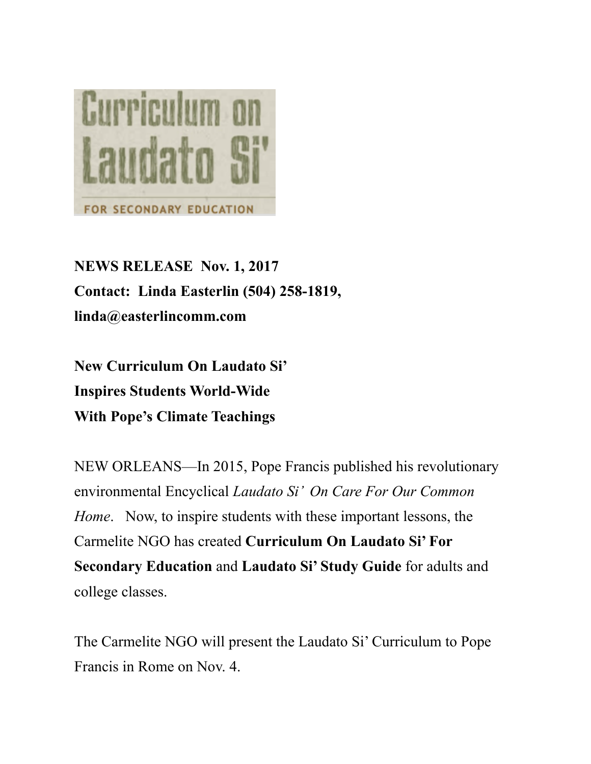

**NEWS RELEASE Nov. 1, 2017 Contact: Linda Easterlin (504) 258-1819, linda@easterlincomm.com**

**New Curriculum On Laudato Si' Inspires Students World-Wide With Pope's Climate Teachings**

NEW ORLEANS—In 2015, Pope Francis published his revolutionary environmental Encyclical *Laudato Si' On Care For Our Common Home*. Now, to inspire students with these important lessons, the Carmelite NGO has created **Curriculum On Laudato Si' For Secondary Education** and **Laudato Si' Study Guide** for adults and college classes.

The Carmelite NGO will present the Laudato Si' Curriculum to Pope Francis in Rome on Nov. 4.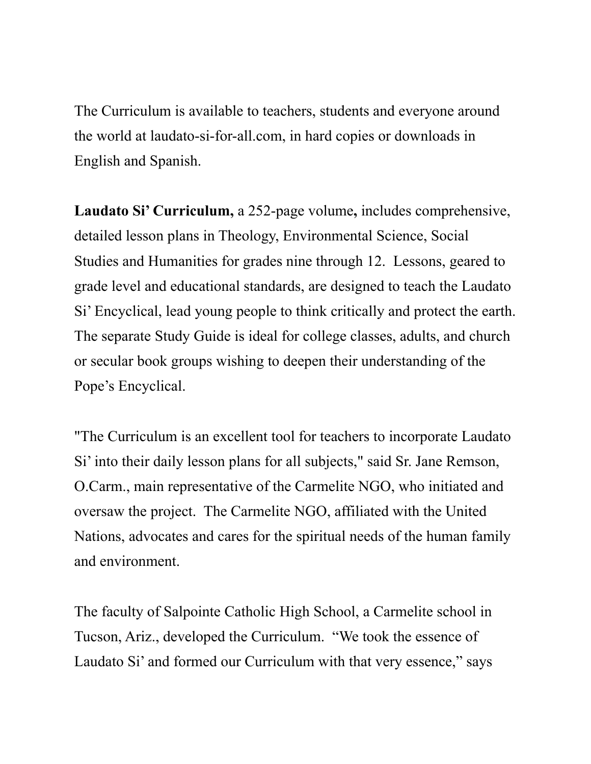The Curriculum is available to teachers, students and everyone around the world at laudato-si-for-all.com, in hard copies or downloads in English and Spanish.

**Laudato Si' Curriculum,** a 252-page volume**,** includes comprehensive, detailed lesson plans in Theology, Environmental Science, Social Studies and Humanities for grades nine through 12. Lessons, geared to grade level and educational standards, are designed to teach the Laudato Si' Encyclical, lead young people to think critically and protect the earth. The separate Study Guide is ideal for college classes, adults, and church or secular book groups wishing to deepen their understanding of the Pope's Encyclical.

"The Curriculum is an excellent tool for teachers to incorporate Laudato Si' into their daily lesson plans for all subjects," said Sr. Jane Remson, O.Carm., main representative of the Carmelite NGO, who initiated and oversaw the project. The Carmelite NGO, affiliated with the United Nations, advocates and cares for the spiritual needs of the human family and environment.

The faculty of Salpointe Catholic High School, a Carmelite school in Tucson, Ariz., developed the Curriculum. "We took the essence of Laudato Si' and formed our Curriculum with that very essence," says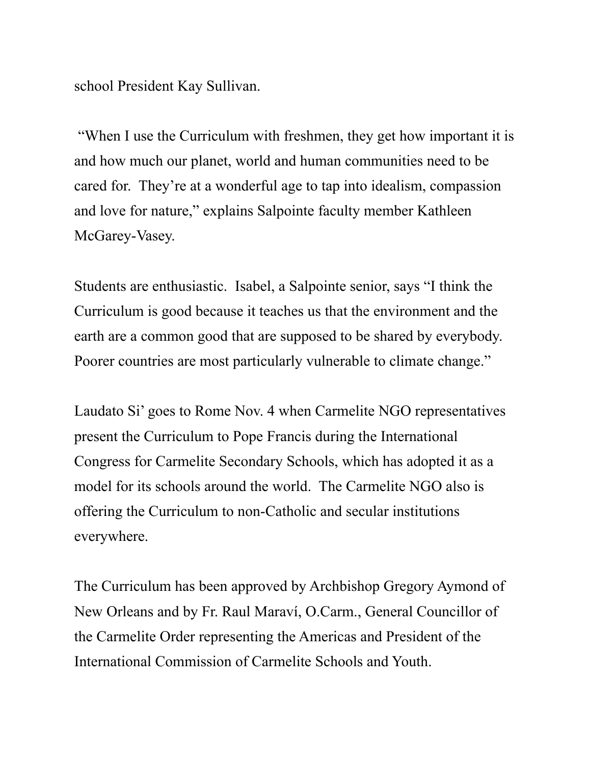school President Kay Sullivan.

 "When I use the Curriculum with freshmen, they get how important it is and how much our planet, world and human communities need to be cared for. They're at a wonderful age to tap into idealism, compassion and love for nature," explains Salpointe faculty member Kathleen McGarey-Vasey.

Students are enthusiastic. Isabel, a Salpointe senior, says "I think the Curriculum is good because it teaches us that the environment and the earth are a common good that are supposed to be shared by everybody. Poorer countries are most particularly vulnerable to climate change."

Laudato Si' goes to Rome Nov. 4 when Carmelite NGO representatives present the Curriculum to Pope Francis during the International Congress for Carmelite Secondary Schools, which has adopted it as a model for its schools around the world. The Carmelite NGO also is offering the Curriculum to non-Catholic and secular institutions everywhere.

The Curriculum has been approved by Archbishop Gregory Aymond of New Orleans and by Fr. Raul Maraví, O.Carm., General Councillor of the Carmelite Order representing the Americas and President of the International Commission of Carmelite Schools and Youth.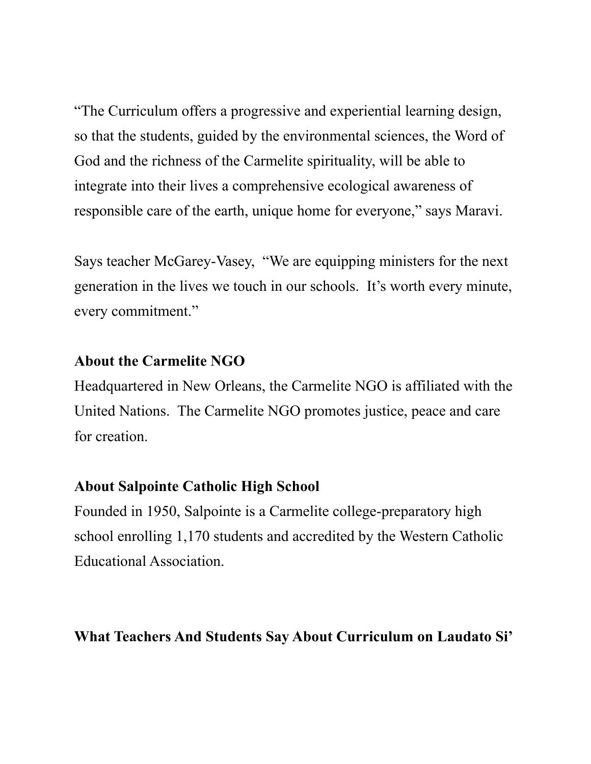"The Curriculum offers a progressive and experiential learning design, so that the students, guided by the environmental sciences, the Word of God and the richness of the Carmelite spirituality, will be able to integrate into their lives a comprehensive ecological awareness of responsible care of the earth, unique home for everyone," says Maravi.

Says teacher McGarey-Vasey, "We are equipping ministers for the next generation in the lives we touch in our schools. It's worth every minute, every commitment."

## **About the Carmelite NGO**

Headquartered in New Orleans, the Carmelite NGO is affiliated with the United Nations. The Carmelite NGO promotes justice, peace and care for creation.

## **About Salpointe Catholic High School**

Founded in 1950, Salpointe is a Carmelite college-preparatory high school enrolling 1,170 students and accredited by the Western Catholic Educational Association.

## **What Teachers And Students Say About Curriculum on Laudato Si'**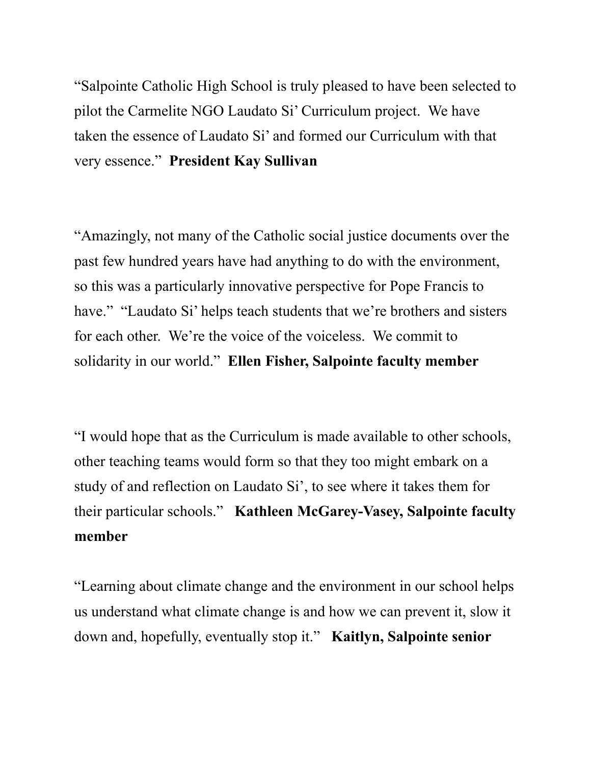"Salpointe Catholic High School is truly pleased to have been selected to pilot the Carmelite NGO Laudato Si' Curriculum project. We have taken the essence of Laudato Si' and formed our Curriculum with that very essence." **President Kay Sullivan**

"Amazingly, not many of the Catholic social justice documents over the past few hundred years have had anything to do with the environment, so this was a particularly innovative perspective for Pope Francis to have." "Laudato Si' helps teach students that we're brothers and sisters for each other. We're the voice of the voiceless. We commit to solidarity in our world." **Ellen Fisher, Salpointe faculty member**

"I would hope that as the Curriculum is made available to other schools, other teaching teams would form so that they too might embark on a study of and reflection on Laudato Si', to see where it takes them for their particular schools." **Kathleen McGarey-Vasey, Salpointe faculty member**

"Learning about climate change and the environment in our school helps us understand what climate change is and how we can prevent it, slow it down and, hopefully, eventually stop it." **Kaitlyn, Salpointe senior**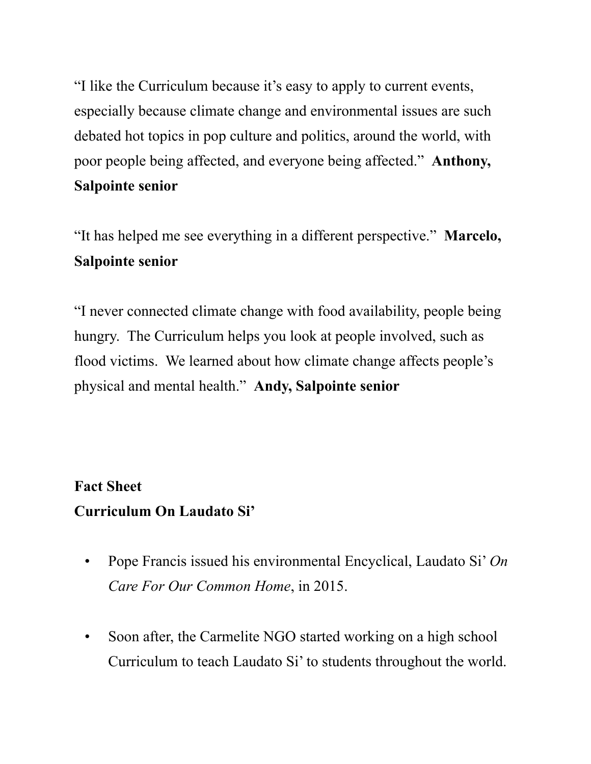"I like the Curriculum because it's easy to apply to current events, especially because climate change and environmental issues are such debated hot topics in pop culture and politics, around the world, with poor people being affected, and everyone being affected." **Anthony, Salpointe senior**

"It has helped me see everything in a different perspective." **Marcelo, Salpointe senior**

"I never connected climate change with food availability, people being hungry. The Curriculum helps you look at people involved, such as flood victims. We learned about how climate change affects people's physical and mental health." **Andy, Salpointe senior**

## **Fact Sheet Curriculum On Laudato Si'**

- Pope Francis issued his environmental Encyclical, Laudato Si' *On Care For Our Common Home*, in 2015.
- Soon after, the Carmelite NGO started working on a high school Curriculum to teach Laudato Si' to students throughout the world.